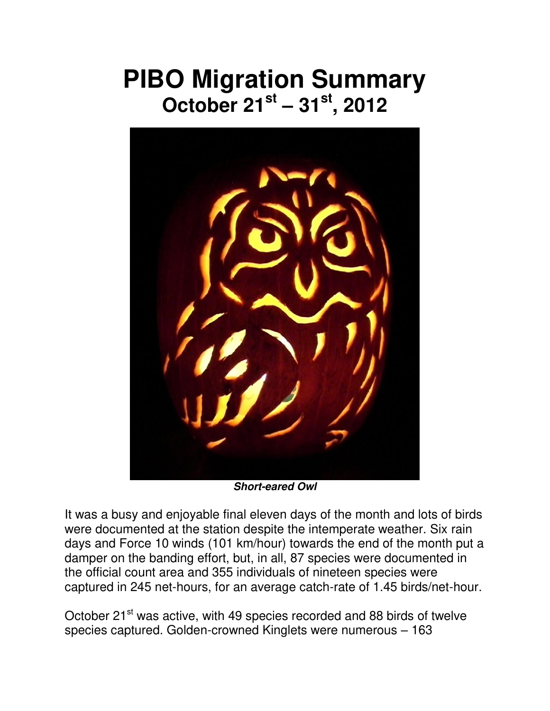## **PIBO Migration Summary October 21st – 31st, 2012**



*Short-eared Owl* 

It was a busy and enjoyable final eleven days of the month and lots of birds were documented at the station despite the intemperate weather. Six rain days and Force 10 winds (101 km/hour) towards the end of the month put a damper on the banding effort, but, in all, 87 species were documented in the official count area and 355 individuals of nineteen species were captured in 245 net-hours, for an average catch-rate of 1.45 birds/net-hour.

October 21<sup>st</sup> was active, with 49 species recorded and 88 birds of twelve species captured. Golden-crowned Kinglets were numerous – 163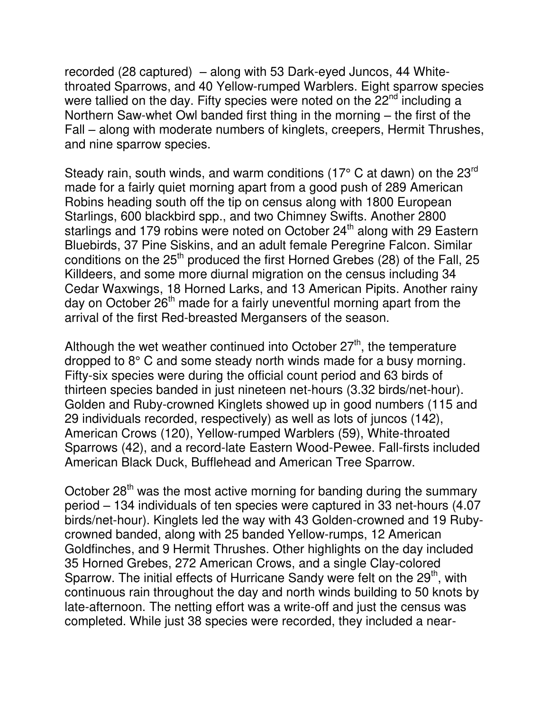recorded (28 captured) – along with 53 Dark-eyed Juncos, 44 Whitethroated Sparrows, and 40 Yellow-rumped Warblers. Eight sparrow species were tallied on the day. Fifty species were noted on the 22<sup>nd</sup> including a Northern Saw-whet Owl banded first thing in the morning – the first of the Fall – along with moderate numbers of kinglets, creepers, Hermit Thrushes, and nine sparrow species.

Steady rain, south winds, and warm conditions (17° C at dawn) on the 23<sup>rd</sup> made for a fairly quiet morning apart from a good push of 289 American Robins heading south off the tip on census along with 1800 European Starlings, 600 blackbird spp., and two Chimney Swifts. Another 2800 starlings and 179 robins were noted on October  $24<sup>th</sup>$  along with 29 Eastern Bluebirds, 37 Pine Siskins, and an adult female Peregrine Falcon. Similar conditions on the  $25<sup>th</sup>$  produced the first Horned Grebes (28) of the Fall, 25 Killdeers, and some more diurnal migration on the census including 34 Cedar Waxwings, 18 Horned Larks, and 13 American Pipits. Another rainy day on October 26<sup>th</sup> made for a fairly uneventful morning apart from the arrival of the first Red-breasted Mergansers of the season.

Although the wet weather continued into October  $27<sup>th</sup>$ , the temperature dropped to 8° C and some steady north winds made for a busy morning. Fifty-six species were during the official count period and 63 birds of thirteen species banded in just nineteen net-hours (3.32 birds/net-hour). Golden and Ruby-crowned Kinglets showed up in good numbers (115 and 29 individuals recorded, respectively) as well as lots of juncos (142), American Crows (120), Yellow-rumped Warblers (59), White-throated Sparrows (42), and a record-late Eastern Wood-Pewee. Fall-firsts included American Black Duck, Bufflehead and American Tree Sparrow.

October 28<sup>th</sup> was the most active morning for banding during the summary period – 134 individuals of ten species were captured in 33 net-hours (4.07 birds/net-hour). Kinglets led the way with 43 Golden-crowned and 19 Rubycrowned banded, along with 25 banded Yellow-rumps, 12 American Goldfinches, and 9 Hermit Thrushes. Other highlights on the day included 35 Horned Grebes, 272 American Crows, and a single Clay-colored Sparrow. The initial effects of Hurricane Sandy were felt on the 29<sup>th</sup>, with continuous rain throughout the day and north winds building to 50 knots by late-afternoon. The netting effort was a write-off and just the census was completed. While just 38 species were recorded, they included a near